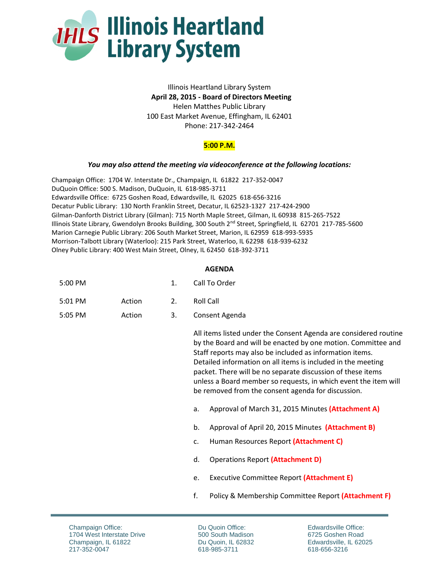

## Illinois Heartland Library System **April 28, 2015 - Board of Directors Meeting** Helen Matthes Public Library 100 East Market Avenue, Effingham, IL 62401 Phone: 217-342-2464

## **5:00 P.M.**

## *You may also attend the meeting via videoconference at the following locations:*

Champaign Office: 1704 W. Interstate Dr., Champaign, IL 61822 217-352-0047 DuQuoin Office: 500 S. Madison, DuQuoin, IL 618-985-3711 Edwardsville Office: 6725 Goshen Road, Edwardsville, IL 62025 618-656-3216 Decatur Public Library: 130 North Franklin Street, Decatur, IL 62523-1327 217-424-2900 Gilman-Danforth District Library (Gilman): 715 North Maple Street, Gilman, IL 60938 815-265-7522 Illinois State Library, Gwendolyn Brooks Building, 300 South 2<sup>nd</sup> Street, Springfield, IL 62701 217-785-5600 Marion Carnegie Public Library: 206 South Market Street, Marion, IL 62959 618-993-5935 Morrison-Talbott Library (Waterloo): 215 Park Street, Waterloo, IL 62298 618-939-6232 Olney Public Library: 400 West Main Street, Olney, IL 62450 618-392-3711

## **AGENDA**

| 5:00 PM | Call To Order |
|---------|---------------|
|---------|---------------|

5:05 PM Action 3. Consent Agenda

> All items listed under the Consent Agenda are considered routine by the Board and will be enacted by one motion. Committee and Staff reports may also be included as information items. Detailed information on all items is included in the meeting packet. There will be no separate discussion of these items unless a Board member so requests, in which event the item will be removed from the consent agenda for discussion.

- a. Approval of March 31, 2015 Minutes **(Attachment A)**
- b. Approval of April 20, 2015 Minutes **(Attachment B)**
- c. Human Resources Report **(Attachment C)**
- d. Operations Report **(Attachment D)**
- e. Executive Committee Report **(Attachment E)**
- f. Policy & Membership Committee Report **(Attachment F)**

Du Quoin Office: 500 South Madison Du Quoin, IL 62832 618-985-3711

Edwardsville Office: 6725 Goshen Road Edwardsville, IL 62025 618-656-3216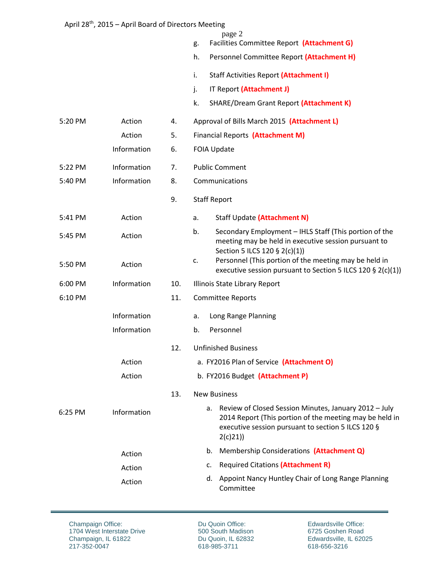|         | April 20 , 2015 – April Board of Directors inteeding |     |                                                                                                                                                                                      |  |  |
|---------|------------------------------------------------------|-----|--------------------------------------------------------------------------------------------------------------------------------------------------------------------------------------|--|--|
|         |                                                      |     | page 2<br>Facilities Committee Report (Attachment G)<br>g.                                                                                                                           |  |  |
|         |                                                      |     | h.<br>Personnel Committee Report (Attachment H)                                                                                                                                      |  |  |
|         |                                                      |     | Staff Activities Report (Attachment I)<br>i.                                                                                                                                         |  |  |
|         |                                                      |     | IT Report (Attachment J)<br>j.                                                                                                                                                       |  |  |
|         |                                                      |     | k.<br>SHARE/Dream Grant Report (Attachment K)                                                                                                                                        |  |  |
| 5:20 PM | Action                                               | 4.  | Approval of Bills March 2015 (Attachment L)                                                                                                                                          |  |  |
|         | Action                                               | 5.  | Financial Reports (Attachment M)                                                                                                                                                     |  |  |
|         | Information                                          | 6.  | <b>FOIA Update</b>                                                                                                                                                                   |  |  |
| 5:22 PM | Information                                          | 7.  | <b>Public Comment</b>                                                                                                                                                                |  |  |
| 5:40 PM | Information                                          | 8.  | Communications                                                                                                                                                                       |  |  |
|         |                                                      | 9.  | <b>Staff Report</b>                                                                                                                                                                  |  |  |
| 5:41 PM | Action                                               |     | Staff Update (Attachment N)<br>a.                                                                                                                                                    |  |  |
| 5:45 PM | Action                                               |     | Secondary Employment - IHLS Staff (This portion of the<br>b.<br>meeting may be held in executive session pursuant to<br>Section 5 ILCS 120 § 2(c)(1))                                |  |  |
| 5:50 PM | Action                                               |     | Personnel (This portion of the meeting may be held in<br>c.<br>executive session pursuant to Section 5 ILCS 120 § 2(c)(1))                                                           |  |  |
| 6:00 PM | Information                                          | 10. | Illinois State Library Report                                                                                                                                                        |  |  |
| 6:10 PM |                                                      | 11. | <b>Committee Reports</b>                                                                                                                                                             |  |  |
|         | Information                                          |     | Long Range Planning<br>a.                                                                                                                                                            |  |  |
|         | Information                                          |     | Personnel<br>b.                                                                                                                                                                      |  |  |
|         |                                                      | 12. | <b>Unfinished Business</b>                                                                                                                                                           |  |  |
|         | Action                                               |     | a. FY2016 Plan of Service (Attachment O)                                                                                                                                             |  |  |
|         | Action                                               |     | b. FY2016 Budget (Attachment P)                                                                                                                                                      |  |  |
|         |                                                      | 13. | <b>New Business</b>                                                                                                                                                                  |  |  |
| 6:25 PM | Information                                          |     | a. Review of Closed Session Minutes, January 2012 - July<br>2014 Report (This portion of the meeting may be held in<br>executive session pursuant to section 5 ILCS 120 §<br>2(c)21) |  |  |
|         | Action                                               |     | Membership Considerations (Attachment Q)<br>b.                                                                                                                                       |  |  |
|         | Action                                               |     | <b>Required Citations (Attachment R)</b><br>c.                                                                                                                                       |  |  |
|         | Action                                               |     | Appoint Nancy Huntley Chair of Long Range Planning<br>d.<br>Committee                                                                                                                |  |  |

Champaign Office: 1704 West Interstate Drive Champaign, IL 61822 217-352-0047

Du Quoin Office: 500 South Madison Du Quoin, IL 62832 618-985-3711

Edwardsville Office: 6725 Goshen Road Edwardsville, IL 62025 618-656-3216